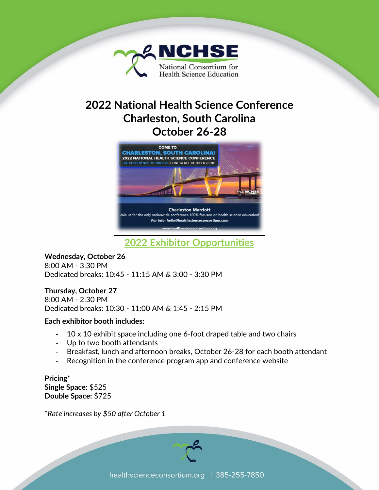

# **2022 National Health Science Conference Charleston, South Carolina October 26-28**



**2022 Exhibitor Opportunities**

**Wednesday, October 26** 8:00 AM - 3:30 PM Dedicated breaks: 10:45 - 11:15 AM & 3:00 - 3:30 PM

# **Thursday, October 27**

8:00 AM - 2:30 PM Dedicated breaks: 10:30 - 11:00 AM & 1:45 - 2:15 PM

#### **Each exhibitor booth includes:**

- 10 x 10 exhibit space including one 6-foot draped table and two chairs
- Up to two booth attendants
- Breakfast, lunch and afternoon breaks, October 26-28 for each booth attendant
- Recognition in the conference program app and conference website

**Pricing\* Single Space:** \$525 **Double Space:** \$725

\**Rate increases by \$50 after October 1*

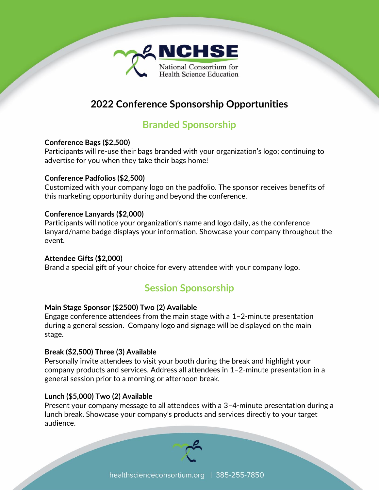

# **2022 Conference Sponsorship Opportunities**

# **Branded Sponsorship**

### **Conference Bags (\$2,500)**

Participants will re-use their bags branded with your organization's logo; continuing to advertise for you when they take their bags home!

### **Conference Padfolios (\$2,500)**

Customized with your company logo on the padfolio. The sponsor receives benefits of this marketing opportunity during and beyond the conference.

# **Conference Lanyards (\$2,000)**

Participants will notice your organization's name and logo daily, as the conference lanyard/name badge displays your information. Showcase your company throughout the event.

# **Attendee Gifts (\$2,000)**

Brand a special gift of your choice for every attendee with your company logo.

# **Session Sponsorship**

# **Main Stage Sponsor (\$2500) Two (2) Available**

Engage conference attendees from the main stage with a 1–2-minute presentation during a general session. Company logo and signage will be displayed on the main stage.

# **Break (\$2,500) Three (3) Available**

Personally invite attendees to visit your booth during the break and highlight your company products and services. Address all attendees in 1–2-minute presentation in a general session prior to a morning or afternoon break.

# **Lunch (\$5,000) Two (2) Available**

Present your company message to all attendees with a 3–4-minute presentation during a lunch break. Showcase your company's products and services directly to your target audience.